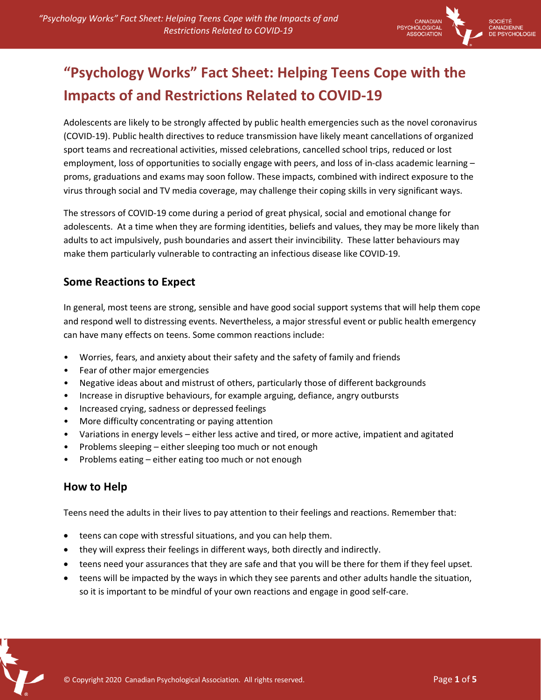

# **"Psychology Works" Fact Sheet: Helping Teens Cope with the Impacts of and Restrictions Related to COVID-19**

Adolescents are likely to be strongly affected by public health emergencies such as the novel coronavirus (COVID-19). Public health directives to reduce transmission have likely meant cancellations of organized sport teams and recreational activities, missed celebrations, cancelled school trips, reduced or lost employment, loss of opportunities to socially engage with peers, and loss of in-class academic learning – proms, graduations and exams may soon follow. These impacts, combined with indirect exposure to the virus through social and TV media coverage, may challenge their coping skills in very significant ways.

The stressors of COVID-19 come during a period of great physical, social and emotional change for adolescents. At a time when they are forming identities, beliefs and values, they may be more likely than adults to act impulsively, push boundaries and assert their invincibility. These latter behaviours may make them particularly vulnerable to contracting an infectious disease like COVID-19.

#### **Some Reactions to Expect**

In general, most teens are strong, sensible and have good social support systems that will help them cope and respond well to distressing events. Nevertheless, a major stressful event or public health emergency can have many effects on teens. Some common reactions include:

- Worries, fears, and anxiety about their safety and the safety of family and friends
- Fear of other major emergencies
- Negative ideas about and mistrust of others, particularly those of different backgrounds
- Increase in disruptive behaviours, for example arguing, defiance, angry outbursts
- Increased crying, sadness or depressed feelings
- More difficulty concentrating or paying attention
- Variations in energy levels either less active and tired, or more active, impatient and agitated
- Problems sleeping either sleeping too much or not enough
- Problems eating either eating too much or not enough

#### **How to Help**

Teens need the adults in their lives to pay attention to their feelings and reactions. Remember that:

- teens can cope with stressful situations, and you can help them.
- they will express their feelings in different ways, both directly and indirectly.
- teens need your assurances that they are safe and that you will be there for them if they feel upset.
- teens will be impacted by the ways in which they see parents and other adults handle the situation, so it is important to be mindful of your own reactions and engage in good self-care.

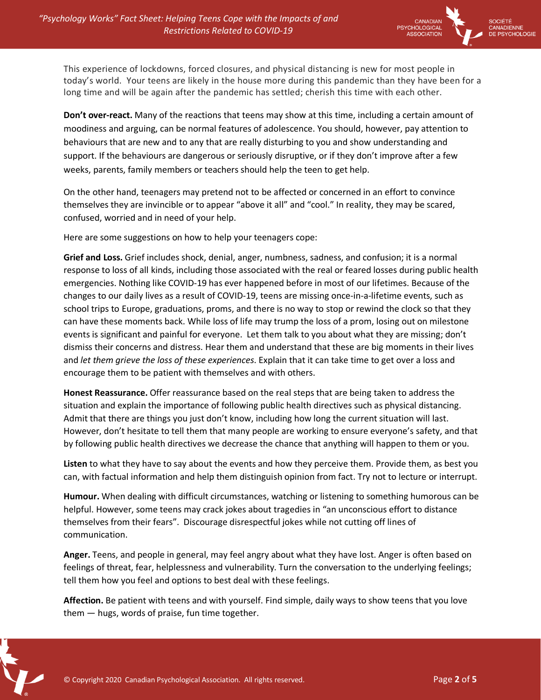

This experience of lockdowns, forced closures, and physical distancing is new for most people in today's world. Your teens are likely in the house more during this pandemic than they have been for a long time and will be again after the pandemic has settled; cherish this time with each other.

**Don't over-react.** Many of the reactions that teens may show at this time, including a certain amount of moodiness and arguing, can be normal features of adolescence. You should, however, pay attention to behaviours that are new and to any that are really disturbing to you and show understanding and support. If the behaviours are dangerous or seriously disruptive, or if they don't improve after a few weeks, parents, family members or teachers should help the teen to get help.

On the other hand, teenagers may pretend not to be affected or concerned in an effort to convince themselves they are invincible or to appear "above it all" and "cool." In reality, they may be scared, confused, worried and in need of your help.

Here are some suggestions on how to help your teenagers cope:

**Grief and Loss.** Grief includes shock, denial, anger, numbness, sadness, and confusion; it is a normal response to loss of all kinds, including those associated with the real or feared losses during public health emergencies. Nothing like COVID-19 has ever happened before in most of our lifetimes. Because of the changes to our daily lives as a result of COVID-19, teens are missing once-in-a-lifetime events, such as school trips to Europe, graduations, proms, and there is no way to stop or rewind the clock so that they can have these moments back. While loss of life may trump the loss of a prom, losing out on milestone events is significant and painful for everyone. Let them talk to you about what they are missing; don't dismiss their concerns and distress. Hear them and understand that these are big moments in their lives and *let them grieve the loss of these experiences*. Explain that it can take time to get over a loss and encourage them to be patient with themselves and with others.

**Honest Reassurance.** Offer reassurance based on the real steps that are being taken to address the situation and explain the importance of following public health directives such as physical distancing. Admit that there are things you just don't know, including how long the current situation will last. However, don't hesitate to tell them that many people are working to ensure everyone's safety, and that by following public health directives we decrease the chance that anything will happen to them or you.

**Listen** to what they have to say about the events and how they perceive them. Provide them, as best you can, with factual information and help them distinguish opinion from fact. Try not to lecture or interrupt.

**Humour.** When dealing with difficult circumstances, watching or listening to something humorous can be helpful. However, some teens may crack jokes about tragedies in "an unconscious effort to distance themselves from their fears". Discourage disrespectful jokes while not cutting off lines of communication.

**Anger.** Teens, and people in general, may feel angry about what they have lost. Anger is often based on feelings of threat, fear, helplessness and vulnerability. Turn the conversation to the underlying feelings; tell them how you feel and options to best deal with these feelings.

**Affection.** Be patient with teens and with yourself. Find simple, daily ways to show teens that you love them — hugs, words of praise, fun time together.

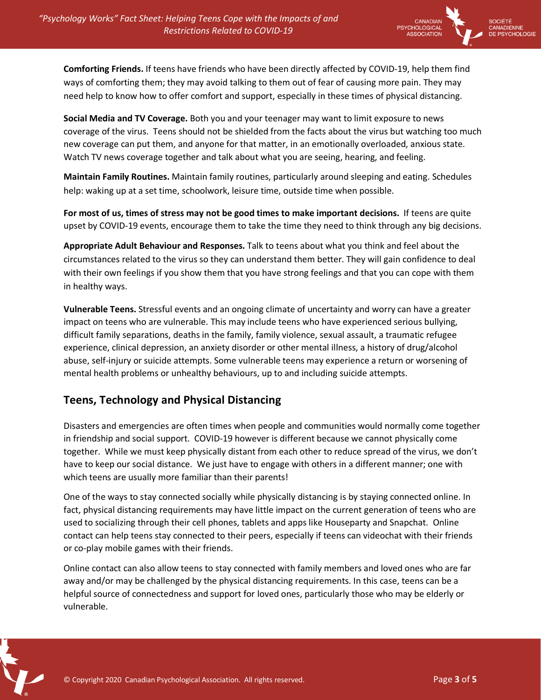

**Comforting Friends.** If teens have friends who have been directly affected by COVID-19, help them find ways of comforting them; they may avoid talking to them out of fear of causing more pain. They may need help to know how to offer comfort and support, especially in these times of physical distancing.

**Social Media and TV Coverage.** Both you and your teenager may want to limit exposure to news coverage of the virus. Teens should not be shielded from the facts about the virus but watching too much new coverage can put them, and anyone for that matter, in an emotionally overloaded, anxious state. Watch TV news coverage together and talk about what you are seeing, hearing, and feeling.

**Maintain Family Routines.** Maintain family routines, particularly around sleeping and eating. Schedules help: waking up at a set time, schoolwork, leisure time, outside time when possible.

**For most of us, times of stress may not be good times to make important decisions.** If teens are quite upset by COVID-19 events, encourage them to take the time they need to think through any big decisions.

**Appropriate Adult Behaviour and Responses.** Talk to teens about what you think and feel about the circumstances related to the virus so they can understand them better. They will gain confidence to deal with their own feelings if you show them that you have strong feelings and that you can cope with them in healthy ways.

**Vulnerable Teens.** Stressful events and an ongoing climate of uncertainty and worry can have a greater impact on teens who are vulnerable. This may include teens who have experienced serious bullying, difficult family separations, deaths in the family, family violence, sexual assault, a traumatic refugee experience, clinical depression, an anxiety disorder or other mental illness, a history of drug/alcohol abuse, self-injury or suicide attempts. Some vulnerable teens may experience a return or worsening of mental health problems or unhealthy behaviours, up to and including suicide attempts.

#### **Teens, Technology and Physical Distancing**

Disasters and emergencies are often times when people and communities would normally come together in friendship and social support. COVID-19 however is different because we cannot physically come together. While we must keep physically distant from each other to reduce spread of the virus, we don't have to keep our social distance. We just have to engage with others in a different manner; one with which teens are usually more familiar than their parents!

One of the ways to stay connected socially while physically distancing is by staying connected online. In fact, physical distancing requirements may have little impact on the current generation of teens who are used to socializing through their cell phones, tablets and apps like Houseparty and Snapchat. Online contact can help teens stay connected to their peers, especially if teens can videochat with their friends or co-play mobile games with their friends.

Online contact can also allow teens to stay connected with family members and loved ones who are far away and/or may be challenged by the physical distancing requirements. In this case, teens can be a helpful source of connectedness and support for loved ones, particularly those who may be elderly or vulnerable.

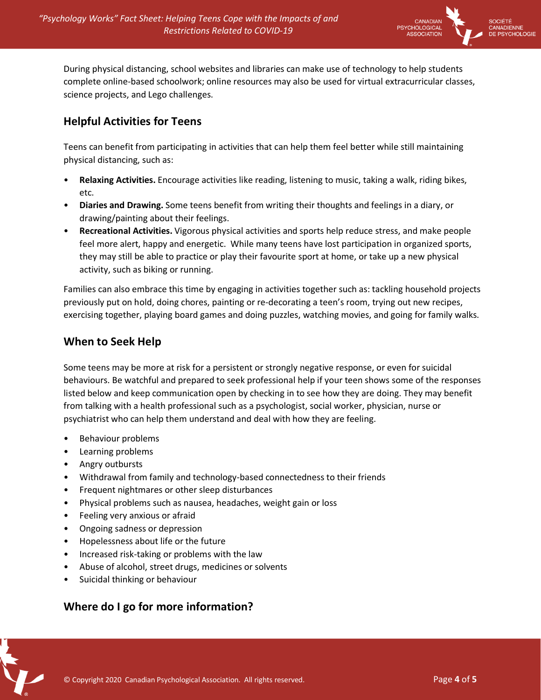

During physical distancing, school websites and libraries can make use of technology to help students complete online-based schoolwork; online resources may also be used for virtual extracurricular classes, science projects, and Lego challenges.

## **Helpful Activities for Teens**

Teens can benefit from participating in activities that can help them feel better while still maintaining physical distancing, such as:

- **Relaxing Activities.** Encourage activities like reading, listening to music, taking a walk, riding bikes, etc.
- **Diaries and Drawing.** Some teens benefit from writing their thoughts and feelings in a diary, or drawing/painting about their feelings.
- **Recreational Activities.** Vigorous physical activities and sports help reduce stress, and make people feel more alert, happy and energetic. While many teens have lost participation in organized sports, they may still be able to practice or play their favourite sport at home, or take up a new physical activity, such as biking or running.

Families can also embrace this time by engaging in activities together such as: tackling household projects previously put on hold, doing chores, painting or re-decorating a teen's room, trying out new recipes, exercising together, playing board games and doing puzzles, watching movies, and going for family walks.

### **When to Seek Help**

Some teens may be more at risk for a persistent or strongly negative response, or even for suicidal behaviours. Be watchful and prepared to seek professional help if your teen shows some of the responses listed below and keep communication open by checking in to see how they are doing. They may benefit from talking with a health professional such as a psychologist, social worker, physician, nurse or psychiatrist who can help them understand and deal with how they are feeling.

- Behaviour problems
- Learning problems
- Angry outbursts
- Withdrawal from family and technology-based connectedness to their friends
- Frequent nightmares or other sleep disturbances
- Physical problems such as nausea, headaches, weight gain or loss
- Feeling very anxious or afraid
- Ongoing sadness or depression
- Hopelessness about life or the future
- Increased risk-taking or problems with the law
- Abuse of alcohol, street drugs, medicines or solvents
- Suicidal thinking or behaviour

## **Where do I go for more information?**